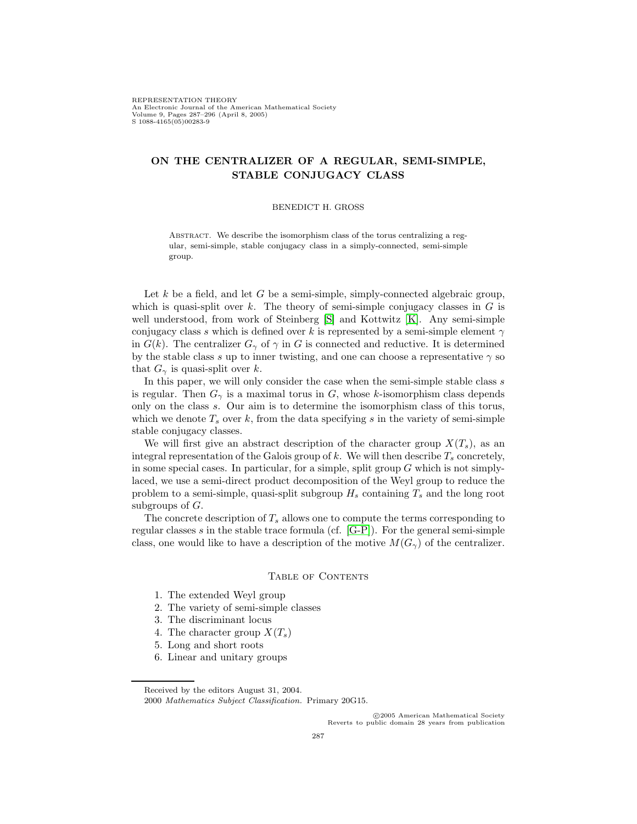# **ON THE CENTRALIZER OF A REGULAR, SEMI-SIMPLE, STABLE CONJUGACY CLASS**

#### BENEDICT H. GROSS

Abstract. We describe the isomorphism class of the torus centralizing a regular, semi-simple, stable conjugacy class in a simply-connected, semi-simple group.

Let  $k$  be a field, and let  $G$  be a semi-simple, simply-connected algebraic group, which is quasi-split over k. The theory of semi-simple conjugacy classes in  $G$  is well understood, from work of Steinberg [\[S\]](#page-9-0) and Kottwitz [\[K\]](#page-8-0). Any semi-simple conjugacy class s which is defined over k is represented by a semi-simple element  $\gamma$ in  $G(k)$ . The centralizer  $G_{\gamma}$  of  $\gamma$  in G is connected and reductive. It is determined by the stable class s up to inner twisting, and one can choose a representative  $\gamma$  so that  $G_{\gamma}$  is quasi-split over k.

In this paper, we will only consider the case when the semi-simple stable class s is regular. Then  $G_{\gamma}$  is a maximal torus in G, whose k-isomorphism class depends only on the class s. Our aim is to determine the isomorphism class of this torus, which we denote  $T_s$  over k, from the data specifying s in the variety of semi-simple stable conjugacy classes.

We will first give an abstract description of the character group  $X(T_s)$ , as an integral representation of the Galois group of k. We will then describe  $T_s$  concretely, in some special cases. In particular, for a simple, split group  $G$  which is not simplylaced, we use a semi-direct product decomposition of the Weyl group to reduce the problem to a semi-simple, quasi-split subgroup  $H_s$  containing  $T_s$  and the long root subgroups of  $G$ .

The concrete description of  $T_s$  allows one to compute the terms corresponding to regular classes s in the stable trace formula (cf.  $[G-P]$ ). For the general semi-simple class, one would like to have a description of the motive  $M(G_{\gamma})$  of the centralizer.

#### TABLE OF CONTENTS

- 1. The extended Weyl group
- 2. The variety of semi-simple classes
- 3. The discriminant locus
- 4. The character group  $X(T_s)$
- 5. Long and short roots
- 6. Linear and unitary groups

c 2005 American Mathematical Society Reverts to public domain 28 years from publication

Received by the editors August 31, 2004.

<sup>2000</sup> *Mathematics Subject Classification.* Primary 20G15.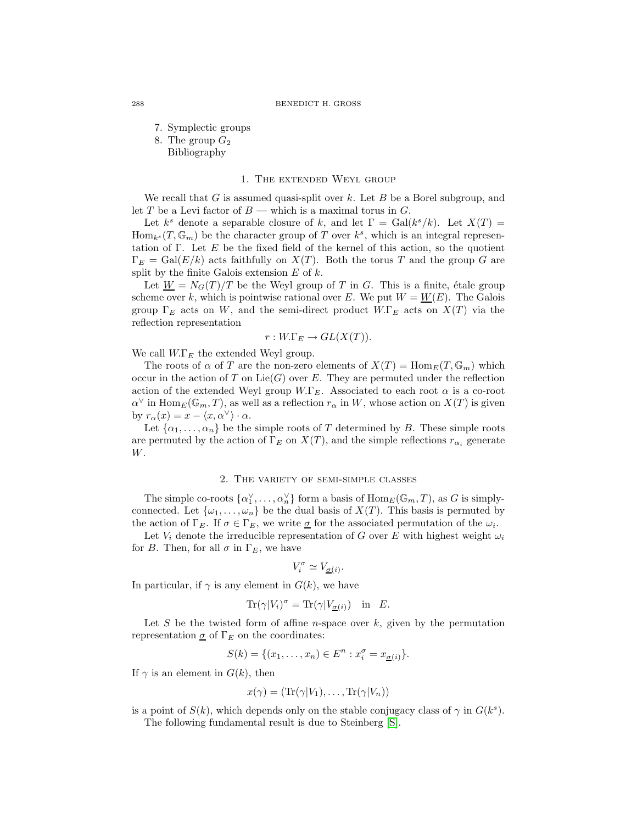7. Symplectic groups

8. The group  $G_2$ Bibliography

### 1. The extended Weyl group

We recall that G is assumed quasi-split over k. Let B be a Borel subgroup, and let T be a Levi factor of  $B$  — which is a maximal torus in  $G$ .

Let k<sup>s</sup> denote a separable closure of k, and let  $\Gamma = \text{Gal}(k^s/k)$ . Let  $X(T) =$  $\text{Hom}_{k^s}(T,\mathbb{G}_m)$  be the character group of T over  $k^s$ , which is an integral representation of Γ. Let E be the fixed field of the kernel of this action, so the quotient  $\Gamma_E = \text{Gal}(E/k)$  acts faithfully on  $X(T)$ . Both the torus T and the group G are split by the finite Galois extension  $E$  of  $k$ .

Let  $\underline{W} = N_G(T)/T$  be the Weyl group of T in G. This is a finite, étale group scheme over k, which is pointwise rational over E. We put  $W = W(E)$ . The Galois group  $\Gamma_E$  acts on W, and the semi-direct product W. $\Gamma_E$  acts on  $X(T)$  via the reflection representation

$$
r: W.\Gamma_E \to GL(X(T)).
$$

We call  $W.\Gamma_E$  the extended Weyl group.

The roots of  $\alpha$  of T are the non-zero elements of  $X(T) = \text{Hom}_E(T, \mathbb{G}_m)$  which occur in the action of T on  $Lie(G)$  over E. They are permuted under the reflection action of the extended Weyl group  $W.F_E$ . Associated to each root  $\alpha$  is a co-root  $\alpha^{\vee}$  in Hom<sub>E</sub>( $\mathbb{G}_m$ , T), as well as a reflection  $r_{\alpha}$  in W, whose action on  $X(T)$  is given by  $r_{\alpha}(x) = x - \langle x, \alpha^{\vee} \rangle \cdot \alpha$ .<br>Let  $\{ \alpha_1, \ldots, \alpha_{\lambda} \}$  be the

Let  $\{\alpha_1, \ldots, \alpha_n\}$  be the simple roots of T determined by B. These simple roots permuted by the action of  $\Gamma_R$  on  $X(T)$  and the simple reflections repeated are permuted by the action of  $\Gamma_E$  on  $X(T)$ , and the simple reflections  $r_{\alpha_i}$  generate W.

## 2. The variety of semi-simple classes

The simple co-roots  $\{\alpha_1^{\vee}, \ldots, \alpha_n^{\vee}\}$  form a basis of  $\text{Hom}_E(\mathbb{G}_m, T)$ , as G is simply-<br>nected Let  $\{\alpha_1, \ldots, \alpha_n\}$  be the dual basis of  $X(T)$ . This basis is permuted by connected. Let  $\{\omega_1,\ldots,\omega_n\}$  be the dual basis of  $X(T)$ . This basis is permuted by the action of  $\Gamma_E$ . If  $\sigma \in \Gamma_E$ , we write  $\underline{\sigma}$  for the associated permutation of the  $\omega_i$ .

Let  $V_i$  denote the irreducible representation of G over E with highest weight  $\omega_i$ for B. Then, for all  $\sigma$  in  $\Gamma_E$ , we have

$$
V_i^\sigma \simeq V_{\underline{\sigma}(i)}.
$$

In particular, if  $\gamma$  is any element in  $G(k)$ , we have

$$
\text{Tr}(\gamma|V_i)^\sigma = \text{Tr}(\gamma|V_{\underline{\sigma}(i)}) \quad \text{in} \quad E.
$$

Let S be the twisted form of affine *n*-space over  $k$ , given by the permutation representation  $\sigma$  of  $\Gamma_E$  on the coordinates:

$$
S(k) = \{(x_1, \ldots, x_n) \in E^n : x_i^{\sigma} = x_{\underline{\sigma}(i)}\}.
$$

If  $\gamma$  is an element in  $G(k)$ , then

$$
x(\gamma) = (\mathrm{Tr}(\gamma|V_1), \ldots, \mathrm{Tr}(\gamma|V_n))
$$

is a point of  $S(k)$ , which depends only on the stable conjugacy class of  $\gamma$  in  $G(k<sup>s</sup>)$ .

The following fundamental result is due to Steinberg [\[S\]](#page-9-0).

288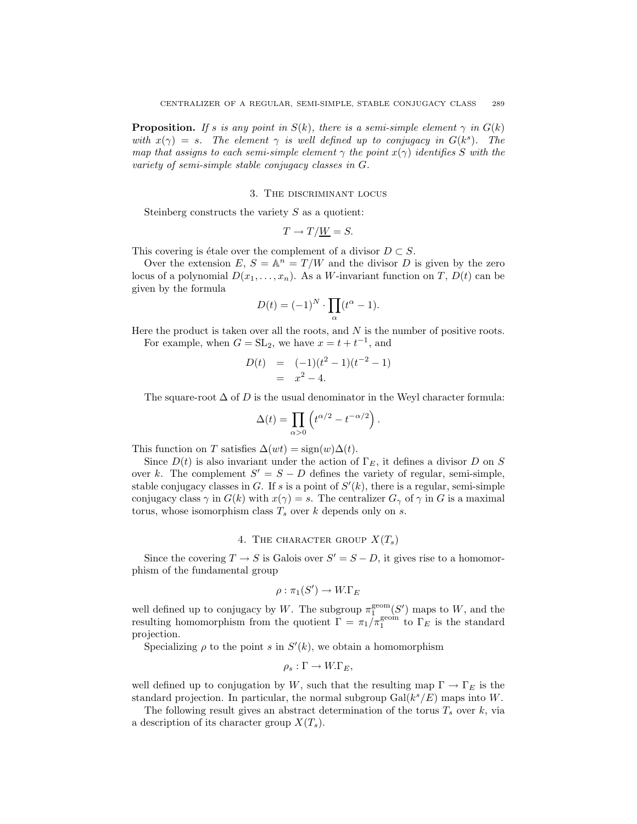**Proposition.** *If* s *is any point in*  $S(k)$ *, there is a semi-simple element*  $\gamma$  *in*  $G(k)$ *with*  $x(\gamma) = s$ *. The element*  $\gamma$  *is well defined up to conjugacy in*  $G(k^s)$ *. The map that assigns to each semi-simple element*  $\gamma$  *the point*  $x(\gamma)$  *identifies* S *with the variety of semi-simple stable conjugacy classes in* G*.*

#### 3. The discriminant locus

Steinberg constructs the variety  $S$  as a quotient:

$$
T \to T/\underline{W} = S.
$$

This covering is étale over the complement of a divisor  $D \subset S$ .

Over the extension  $E, S = \mathbb{A}^n = T/W$  and the divisor D is given by the zero locus of a polynomial  $D(x_1,...,x_n)$ . As a W-invariant function on T,  $D(t)$  can be given by the formula

$$
D(t) = (-1)^N \cdot \prod_{\alpha} (t^{\alpha} - 1).
$$

Here the product is taken over all the roots, and  $N$  is the number of positive roots.

For example, when  $G = SL_2$ , we have  $x = t + t^{-1}$ , and

$$
D(t) = (-1)(t2 - 1)(t-2 - 1)
$$
  
=  $x2 - 4$ .

The square-root  $\Delta$  of D is the usual denominator in the Weyl character formula:

$$
\Delta(t) = \prod_{\alpha > 0} \left( t^{\alpha/2} - t^{-\alpha/2} \right)
$$

This function on T satisfies  $\Delta(wt) = sign(w)\Delta(t)$ .

Since 
$$
D(t)
$$
 is also invariant under the action of  $\Gamma_E$ , it defines a divisor  $D$  on  $S$  over  $k$ . The complement  $S' = S - D$  defines the variety of regular, semi-simple, stable conjugacy classes in  $G$ . If  $s$  is a point of  $S'(k)$ , there is a regular, semi-simple conjugacy class  $\gamma$  in  $G(k)$  with  $x(\gamma) = s$ . The centralizer  $G_{\gamma}$  of  $\gamma$  in  $G$  is a maximal torus, whose isomorphism class  $T_s$  over  $k$  depends only on  $s$ .

## 4. THE CHARACTER GROUP  $X(T_s)$

Since the covering  $T \to S$  is Galois over  $S' = S - D$ , it gives rise to a homomor-<br>ism of the fundamental group phism of the fundamental group

$$
\rho : \pi_1(S') \to W.\Gamma_E
$$

well defined up to conjugacy by W. The subgroup  $\pi_1^{\text{geom}}(S')$  maps to W, and the resulting homomorphism from the quotient  $\Gamma = \pi, l \pi^{\text{geom}}$  to  $\Gamma_D$  is the standard resulting homomorphism from the quotient  $\Gamma = \pi_1/\pi_1^{\text{geom}}$  to  $\Gamma_E$  is the standard projection.

Specializing  $\rho$  to the point s in  $S'(k)$ , we obtain a homomorphism

$$
\rho_s:\Gamma\to W.\Gamma_E,
$$

well defined up to conjugation by W, such that the resulting map  $\Gamma \to \Gamma_E$  is the standard projection. In particular, the normal subgroup  $Gal(k^{s}/E)$  maps into W.

The following result gives an abstract determination of the torus  $T_s$  over k, via a description of its character group  $X(T_s)$ .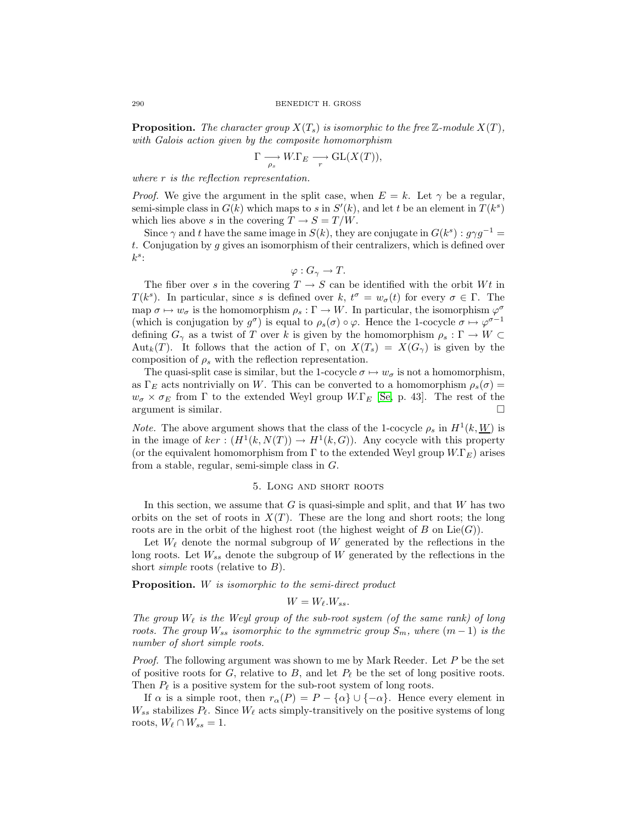**Proposition.** The character group  $X(T_s)$  is isomorphic to the free Z-module  $X(T)$ , *with Galois action given by the composite homomorphism*

$$
\Gamma \longrightarrow_{\rho_s} W.\Gamma_E \longrightarrow \mathrm{GL}(X(T)),
$$

*where* r *is the reflection representation.*

*Proof.* We give the argument in the split case, when  $E = k$ . Let  $\gamma$  be a regular, semi-simple class in  $G(k)$  which maps to s in  $S'(k)$ , and let t be an element in  $T(k^s)$ <br>which lies above s in the covering  $T \rightarrow S - T/W$ which lies above s in the covering  $T \to S = T/W$ .

Since  $\gamma$  and t have the same image in  $S(k)$ , they are conjugate in  $G(k<sup>s</sup>) : q \gamma q^{-1} =$  $t$ . Conjugation by  $g$  gives an isomorphism of their centralizers, which is defined over  $k^s$ :

$$
\varphi: G_{\gamma} \to T.
$$

The fiber over s in the covering  $T \to S$  can be identified with the orbit Wt in  $k^{s}$ ). In particular, since s is defined over  $k^{-t\sigma} = w(t)$  for every  $\sigma \in \Gamma$ . The  $T(k^s)$ . In particular, since s is defined over k,  $t^{\sigma} = w_{\sigma}(t)$  for every  $\sigma \in \Gamma$ . The man  $\sigma \mapsto w$  is the homomorphism  $\rho \circ \Gamma \to W$ . In particular, the isomorphism  $\rho \circ \Gamma$ map  $\sigma \mapsto w_{\sigma}$  is the homomorphism  $\rho_s : \Gamma \to W$ . In particular, the isomorphism  $\varphi^{\sigma}$ (which is conjugation by  $g^{\sigma}$ ) is equal to  $\rho_s(\sigma) \circ \varphi$ . Hence the 1-cocycle  $\sigma \mapsto \varphi^{\sigma-1}$ defining  $G_\gamma$  as a twist of T over k is given by the homomorphism  $\rho_s : \Gamma \to W \subset$ Aut<sub>k</sub>(T). It follows that the action of Γ, on  $X(T_s) = X(G_\gamma)$  is given by the composition of  $\rho_s$  with the reflection representation.

The quasi-split case is similar, but the 1-cocycle  $\sigma \mapsto w_{\sigma}$  is not a homomorphism, as  $\Gamma_E$  acts nontrivially on W. This can be converted to a homomorphism  $\rho_s(\sigma)$  =  $w_{\sigma} \times \sigma_E$  from  $\Gamma$  to the extended Weyl group  $W.\Gamma_E$  [\[Se,](#page-8-2) p. 43]. The rest of the argument is similar.

*Note.* The above argument shows that the class of the 1-cocycle  $\rho_s$  in  $H^1(k, \underline{W})$  is in the image of  $ker : (H^1(k, N(T)) \to H^1(k, G))$ . Any cocycle with this property (or the equivalent homomorphism from Γ to the extended Weyl group  $W_{\cdot}$ F<sub>E</sub>) arises from a stable, regular, semi-simple class in G.

## 5. Long and short roots

In this section, we assume that  $G$  is quasi-simple and split, and that  $W$  has two orbits on the set of roots in  $X(T)$ . These are the long and short roots; the long roots are in the orbit of the highest root (the highest weight of B on  $Lie(G)$ ).

Let  $W_{\ell}$  denote the normal subgroup of W generated by the reflections in the long roots. Let  $W_{ss}$  denote the subgroup of W generated by the reflections in the short *simple* roots (relative to B).

**Proposition.** W *is isomorphic to the semi-direct product*

$$
W = W_{\ell}.W_{ss}.
$$

*The group*  $W_{\ell}$  *is the Weyl group of the sub-root system (of the same rank) of long*<br>roots. The group W *isomorphic to the symmetric group*  $S$  *where*  $(m-1)$  *is the roots. The group*  $W_{ss}$  *isomorphic to the symmetric group*  $S_m$ *, where*  $(m-1)$  *is the number of short simple roots.*

*Proof.* The following argument was shown to me by Mark Reeder. Let P be the set of positive roots for G, relative to B, and let  $P_{\ell}$  be the set of long positive roots. Then  $P_{\ell}$  is a positive system for the sub-root system of long roots.

If  $\alpha$  is a simple root, then  $r_{\alpha}(P) = P - {\alpha} \cup {\alpha}$ . Hence every element in  $W_{ss}$  stabilizes  $P_{\ell}$ . Since  $W_{\ell}$  acts simply-transitively on the positive systems of long roots,  $W_{\ell} \cap W_{ss} = 1$ .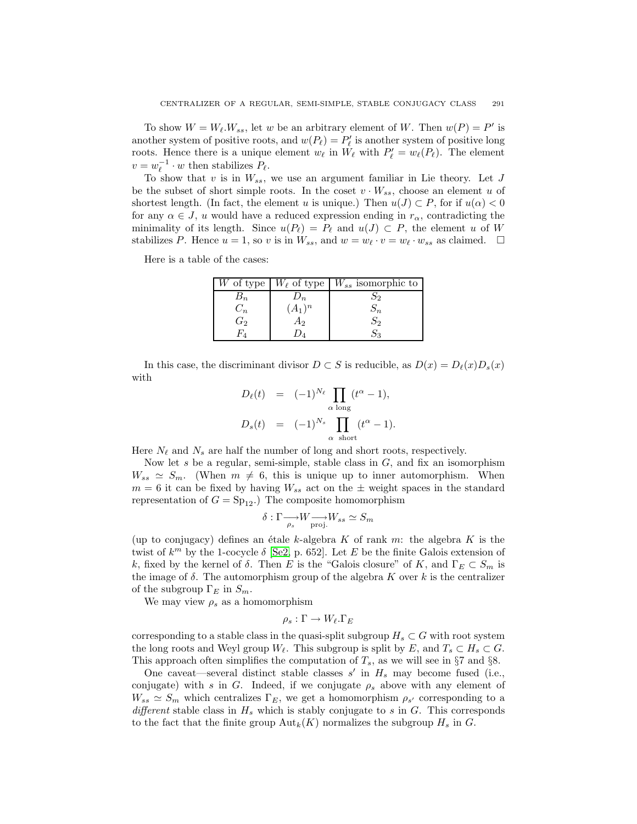To show  $W = W_{\ell}.W_{ss}$ , let w be an arbitrary element of W. Then  $w(P) = P'$  is<br>other system of positive roots, and  $w(P_{\ell}) - P'$  is another system of positive long another system of positive roots, and  $w(P_\ell) = P'_\ell$  is another system of positive long<br>roots. Hence there is a unique element  $w_\ell$  in  $W_\ell$  with  $P' = w_\ell(P_\ell)$ . The element roots. Hence there is a unique element  $w_{\ell}$  in  $W_{\ell}$  with  $P'_{\ell} = w_{\ell}(P_{\ell})$ . The element  $w_{\ell} = w^{-1} \cdot w$  then stabilizes  $P_{\ell}$  $v = w_{\ell}^{-1} \cdot w$  then stabilizes  $P_{\ell}$ .<br>To show that *v* is in W

To show that v is in  $W_{ss}$ , we use an argument familiar in Lie theory. Let J be the subset of short simple roots. In the coset  $v \cdot W_{ss}$ , choose an element u of shortest length. (In fact, the element u is unique.) Then  $u(J) \subset P$ , for if  $u(\alpha) < 0$ for any  $\alpha \in J$ , u would have a reduced expression ending in  $r_{\alpha}$ , contradicting the minimality of its length. Since  $u(P_\ell) = P_\ell$  and  $u(J) \subset P$ , the element u of W stabilizes P. Hence  $u = 1$ , so v is in  $W_{ss}$ , and  $w = w_{\ell} \cdot v = w_{\ell} \cdot w_{ss}$  as claimed.  $\square$ 

Here is a table of the cases:

| $W$ of type             |           | $W_{\ell}$ of type   $W_{ss}$ isomorphic to |
|-------------------------|-----------|---------------------------------------------|
| $\emph{D}_{n}$          | $\nu_n$   | ⊃2                                          |
| $C_n$                   | $(A_1)^n$ | Эn                                          |
| $\stackrel{\cdot}{G_2}$ | A2        | $S_2$                                       |
|                         |           |                                             |
|                         |           |                                             |

In this case, the discriminant divisor  $D \subset S$  is reducible, as  $D(x) = D_{\ell}(x)D_s(x)$ with

$$
D_{\ell}(t) = (-1)^{N_{\ell}} \prod_{\alpha \text{ long}} (t^{\alpha} - 1),
$$
  

$$
D_{s}(t) = (-1)^{N_{s}} \prod_{\alpha \text{ short}} (t^{\alpha} - 1).
$$

Here  $N_{\ell}$  and  $N_s$  are half the number of long and short roots, respectively.<br>Now let s be a requier semi-simple stable class in  $G$  and fix an isom

Now let s be a regular, semi-simple, stable class in  $G$ , and fix an isomorphism  $W_{ss} \simeq S_m$ . (When  $m \neq 6$ , this is unique up to inner automorphism. When  $m = 6$  it can be fixed by having  $W_{ss}$  act on the  $\pm$  weight spaces in the standard representation of  $G = Sp_{12}$ .) The composite homomorphism

$$
\delta : \Gamma \longrightarrow_{\rho_s} W \longrightarrow_{\text{proj.}} W_{ss} \simeq S_m
$$

(up to conjugacy) defines an étale k-algebra K of rank m: the algebra K is the twist of  $k^m$  by the 1-cocycle  $\delta$  [\[Se2,](#page-8-3) p. 652]. Let E be the finite Galois extension of k, fixed by the kernel of  $\delta$ . Then E is the "Galois closure" of K, and  $\Gamma_E \subset S_m$  is the image of  $\delta$ . The automorphism group of the algebra K over  $k$  is the centralizer of the subgroup  $\Gamma_E$  in  $S_m$ .

We may view  $\rho_s$  as a homomorphism

$$
\rho_s:\Gamma\to W_\ell.\Gamma_E
$$

corresponding to a stable class in the quasi-split subgroup  $H_s \subset G$  with root system<br>the long roots and Weyl group  $W_s$ . This subgroup is split by  $F$  and  $T \subset H \subset G$ . the long roots and Weyl group W<sub> $\ell$ </sub>. This subgroup is split by E, and  $T_s \subset H_s \subset G$ . This approach often simplifies the computation of  $T_s$ , as we will see in §7 and §8.

One caveat—several distinct stable classes  $s'$  in  $H_s$  may become fused (i.e., in general stable classes  $s'$  in  $H_s$  may become fused if we conjugate a shows with any element of conjugate) with s in G. Indeed, if we conjugate  $\rho_s$  above with any element of  $W_{ss} \simeq S_m$  which centralizes  $\Gamma_E$ , we get a homomorphism  $\rho_{s'}$  corresponding to a *different* stable class in  $H_s$  which is stably conjugate to s in  $G$ . This corresponds to the fact that the finite group  ${\rm Aut}_k(K)$  normalizes the subgroup  $H_s$  in G.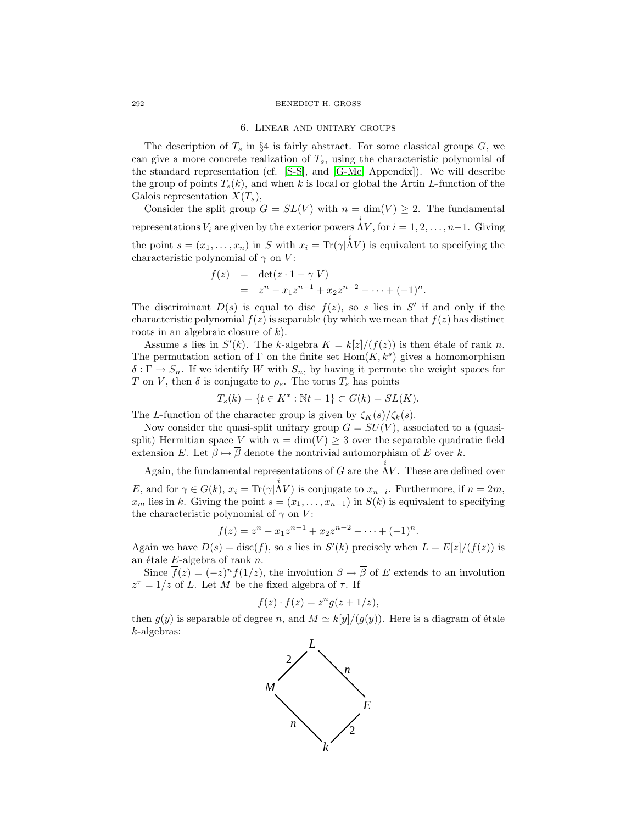#### 6. Linear and unitary groups

The description of  $T_s$  in §4 is fairly abstract. For some classical groups  $G$ , we can give a more concrete realization of  $T_s$ , using the characteristic polynomial of the standard representation (cf. [\[S-S\]](#page-8-4), and [\[G-Mc,](#page-8-5) Appendix]). We will describe the group of points  $T_s(k)$ , and when k is local or global the Artin L-function of the Galois representation  $X(T_s)$ ,

Consider the split group  $G = SL(V)$  with  $n = \dim(V) \geq 2$ . The fundamental representations  $V_i$  are given by the exterior powers  $\Lambda V$ , for  $i = 1, 2, ..., n-1$ . Giving the point  $s = (x_1, \ldots, x_n)$  in S with  $x_i = \text{Tr}(\gamma | \overset{i}{\Lambda}V)$  is equivalent to specifying the characteristic polynomial of  $\gamma$  on  $V$ : characteristic polynomial of  $\gamma$  on V:

$$
f(z) = \det(z \cdot 1 - \gamma | V)
$$
  
=  $z^n - x_1 z^{n-1} + x_2 z^{n-2} - \dots + (-1)^n$ .

The discriminant  $D(s)$  is equal to disc  $f(z)$ , so s lies in S' if and only if the characteristic polynomial  $f(z)$  is separable (by which we mean that  $f(z)$  has distinct characteristic polynomial  $f(z)$  is separable (by which we mean that  $f(z)$  has distinct roots in an algebraic closure of  $k$ ).

Assume s lies in  $S'(k)$ . The k-algebra  $K = k[z]/(f(z))$  is then étale of rank n. The permutation action of Γ on the finite set  $Hom(K, k<sup>s</sup>)$  gives a homomorphism  $\delta : \Gamma \to S_n$ . If we identify W with  $S_n$ , by having it permute the weight spaces for T on V, then  $\delta$  is conjugate to  $\rho_s$ . The torus  $T_s$  has points

$$
T_s(k) = \{ t \in K^* : \mathbb{N}t = 1 \} \subset G(k) = SL(K).
$$

The L-function of the character group is given by  $\zeta_K(s)/\zeta_k(s)$ .<br>Now consider the quasi-split unitary group  $C-SU(V)$  ass

Now consider the quasi-split unitary group  $G = SU(V)$ , associated to a (quasisplit) Hermitian space V with  $n = \dim(V) \geq 3$  over the separable quadratic field extension E. Let  $\beta \mapsto \overline{\beta}$  denote the nontrivial automorphism of E over k.

Again, the fundamental representations of G are the  $\Lambda V$ . These are defined over E, and for  $\gamma \in G(k)$ ,  $x_i = \text{Tr}(\gamma | \Lambda V)$  is conjugate to  $x_{n-i}$ . Furthermore, if  $n = 2m$ ,<br>*x* lies in k. Giving the point  $s = (x_i, \ldots, x_{n-i})$  in  $S(k)$  is equivalent to specifying  $x_m$  lies in k. Giving the point  $s = (x_1, \ldots, x_{n-1})$  in  $S(k)$  is equivalent to specifying the characteristic polynomial of  $\gamma$  on V:

$$
f(z) = zn - x1zn-1 + x2zn-2 - \dots + (-1)n.
$$

Again we have  $D(s) = \text{disc}(f)$ , so s lies in  $S'(k)$  precisely when  $L = E[z]/(f(z))$  is<br>an étale E-algebra of rank n an étale  $E$ -algebra of rank n.

Since  $\overline{f}(z)=(-z)^{n}f(1/z)$ , the involution  $\beta \mapsto \overline{\beta}$  of E extends to an involution  $z^{\tau} = 1/z$  of L. Let M be the fixed algebra of  $\tau$ . If

$$
f(z) \cdot \overline{f}(z) = z^n g(z + 1/z),
$$

then  $g(y)$  is separable of degree n, and  $M \simeq k[y]/(g(y))$ . Here is a diagram of étale  $k$ -algebras: k-algebras:

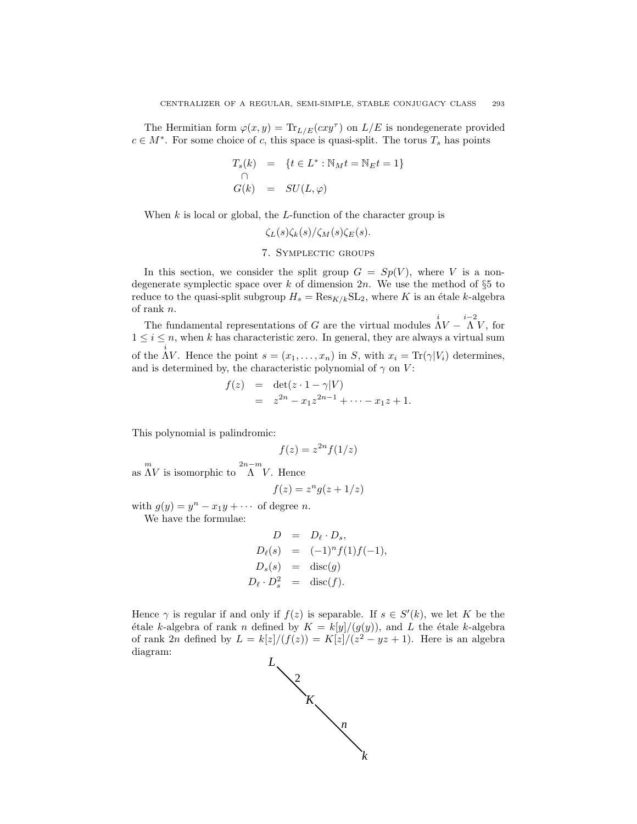The Hermitian form  $\varphi(x, y) = \text{Tr}_{L/E}(cxy^{\tau})$  on  $L/E$  is nondegenerate provided  $c \in M^*$ . For some choice of c, this space is quasi-split. The torus  $T_s$  has points

$$
T_s(k) = \{t \in L^* : \mathbb{N}_M t = \mathbb{N}_E t = 1\}
$$
  
\n
$$
G(k) = SU(L, \varphi)
$$

When  $k$  is local or global, the  $L$ -function of the character group is

 $\zeta_L(s)\zeta_k(s)/\zeta_M(s)\zeta_E(s).$ 

# 7. Symplectic groups

In this section, we consider the split group  $G = Sp(V)$ , where V is a nondegenerate symplectic space over k of dimension  $2n$ . We use the method of  $\S 5$  to reduce to the quasi-split subgroup  $H_s = \text{Res}_{K/k} \text{SL}_2$ , where K is an étale k-algebra of rank n. of rank  $n$ .

The fundamental representations of G are the virtual modules  $\Lambda V - \Lambda V$ , for  $i \leq n$ , when k has characteristic zero. In general, they are always a virtual sum  $1 \leq i \leq n$ , when k has characteristic zero. In general, they are always a virtual sum of the  $\Lambda V$ . Hence the point  $s = (x_1, \ldots, x_n)$  in S, with  $x_i = \text{Tr}(\gamma | V_i)$  determines, and is determined by, the characteristic polynomial of  $\gamma$  on V:

$$
f(z) = \det(z \cdot 1 - \gamma | V) = z^{2n} - x_1 z^{2n-1} + \dots - x_1 z + 1.
$$

This polynomial is palindromic:

$$
f(z) = z^{2n} f(1/z)
$$

as  $\Lambda V$  is isomorphic to  $\Lambda V$ . Hence

$$
f(z) = z^n g(z + 1/z)
$$

with  $g(y) = y^n - x_1y + \cdots$  of degree *n*.

We have the formulae:

$$
D = D_{\ell} \cdot D_s,
$$
  
\n
$$
D_{\ell}(s) = (-1)^n f(1) f(-1),
$$
  
\n
$$
D_s(s) = \text{disc}(g)
$$
  
\n
$$
D_{\ell} \cdot D_s^2 = \text{disc}(f).
$$

Hence  $\gamma$  is regular if and only if  $f(z)$  is separable. If  $s \in S'(k)$ , we let K be the dialog the separable  $k$ -algebra étale k-algebra of rank n defined by  $K = k[y]/(g(y))$ , and L the étale k-algebra<br>of rank 2n defined by  $L = k[z]/(f(z)) = K[z]/(z^2 - yz + 1)$ . Here is an algebra of rank 2n defined by  $L = k[z]/(f(z)) = K[z]/(z^2 - yz + 1)$ . Here is an algebra diagram: diagram:

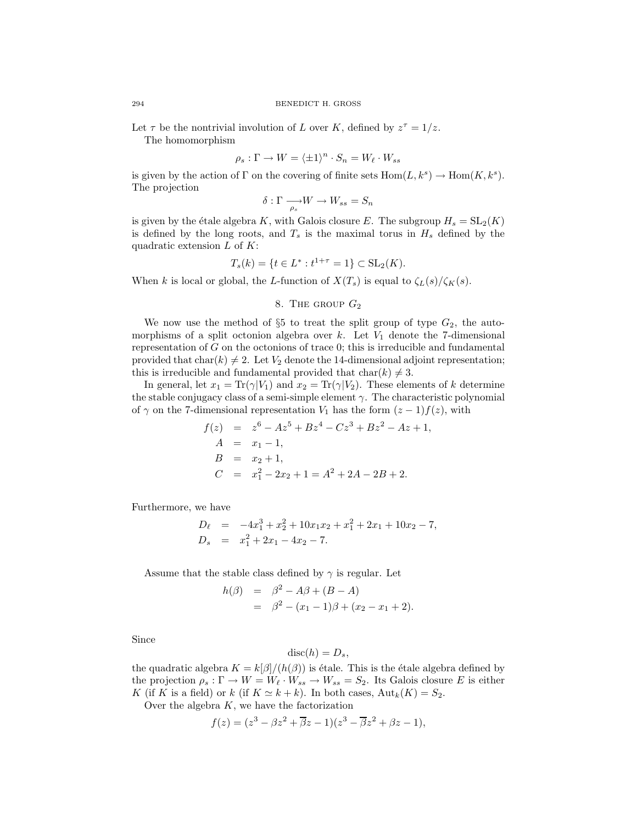Let  $\tau$  be the nontrivial involution of L over K, defined by  $z^{\tau} = 1/z$ .

The homomorphism

$$
\rho_s : \Gamma \to W = \langle \pm 1 \rangle^n \cdot S_n = W_\ell \cdot W_{ss}
$$

is given by the action of  $\Gamma$  on the covering of finite sets  $\text{Hom}(L, k^s) \to \text{Hom}(K, k^s)$ . The projection

$$
\delta : \Gamma \longrightarrow_{\rho_s} W \longrightarrow W_{ss} = S_n
$$

is given by the étale algebra K, with Galois closure E. The subgroup  $H_s = SL_2(K)$ is defined by the long roots, and  $T_s$  is the maximal torus in  $H_s$  defined by the quadratic extension  $L$  of  $K$ :

$$
T_s(k) = \{ t \in L^* : t^{1+\tau} = 1 \} \subset SL_2(K).
$$

When k is local or global, the L-function of  $X(T_s)$  is equal to  $\zeta_L(s)/\zeta_K(s)$ .

## 8. The group  $G_2$

We now use the method of  $\S5$  to treat the split group of type  $G_2$ , the automorphisms of a split octonion algebra over  $k$ . Let  $V_1$  denote the 7-dimensional representation of  $G$  on the octonions of trace  $0$ ; this is irreducible and fundamental provided that char(k)  $\neq 2$ . Let  $V_2$  denote the 14-dimensional adjoint representation; this is irreducible and fundamental provided that  $char(k) \neq 3$ .

In general, let  $x_1 = \text{Tr}(\gamma|V_1)$  and  $x_2 = \text{Tr}(\gamma|V_2)$ . These elements of k determine the stable conjugacy class of a semi-simple element  $\gamma$ . The characteristic polynomial of  $\gamma$  on the 7-dimensional representation  $V_1$  has the form  $(z - 1)f(z)$ , with<br>  $f(z) = z^6 - Az^5 + Bz^4 - Cz^3 + Bz^2 - Az + 1$ ,

$$
f(z) = z^{6} - Az^{5} + Bz^{4} - Cz^{3} + Bz^{2} - Az + 1,
$$
  
\n
$$
A = x_{1} - 1,
$$
  
\n
$$
B = x_{2} + 1,
$$
  
\n
$$
C = x_{1}^{2} - 2x_{2} + 1 = A^{2} + 2A - 2B + 2.
$$

Furthermore, we have

$$
D_{\ell} = -4x_1^3 + x_2^2 + 10x_1x_2 + x_1^2 + 2x_1 + 10x_2 - 7,
$$
  
\n
$$
D_s = x_1^2 + 2x_1 - 4x_2 - 7.
$$

Assume that the stable class defined by  $\gamma$  is regular. Let

$$
h(\beta) = \beta^2 - A\beta + (B - A)
$$
  
=  $\beta^2 - (x_1 - 1)\beta + (x_2 - x_1 + 2).$ 

Since

$$
\operatorname{disc}(h) = D_s,
$$

the quadratic algebra  $K = k[\beta]/(h(\beta))$  is étale. This is the étale algebra defined by<br>the projection  $\rho : \Gamma \to W - W_{\ell}$ .  $W \to W_{\ell} - S_{\ell}$ . Its Galois closure E is either the projection  $\rho_s : \Gamma \to W = W_\ell \cdot W_{ss} \to W_{ss} = S_2$ . Its Galois closure E is either K (if K is a field) or k (if  $K \simeq k + k$ ). In both cases,  ${\rm Aut}_k(K) = S_2$ .

Over the algebra  $K$ , we have the factorization

$$
f(z) = (z3 - \beta z2 + \overline{\beta}z - 1)(z3 - \overline{\beta}z2 + \beta z - 1),
$$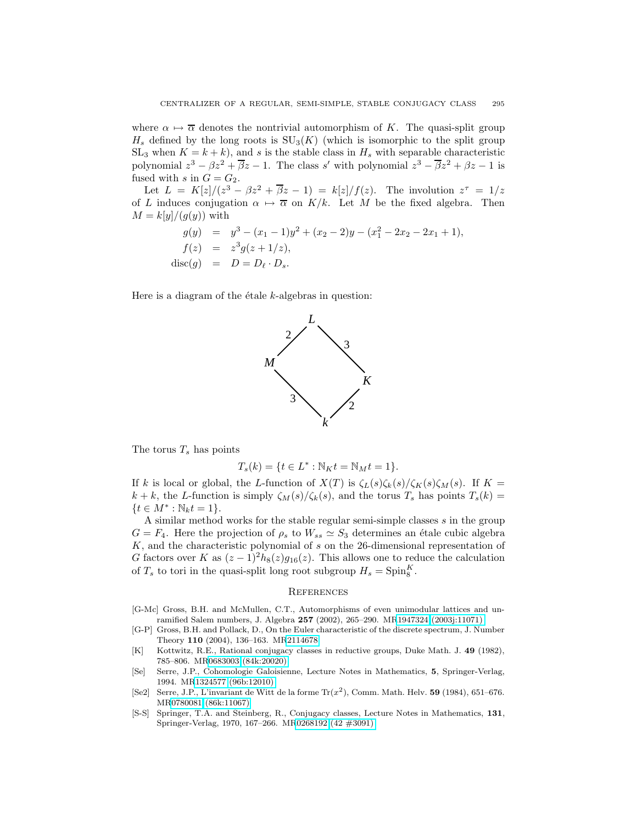where  $\alpha \mapsto \overline{\alpha}$  denotes the nontrivial automorphism of K. The quasi-split group  $H<sub>s</sub>$  defined by the long roots is  $SU<sub>3</sub>(K)$  (which is isomorphic to the split group  $SL_3$  when  $K = k + k$ , and s is the stable class in  $H_s$  with separable characteristic polynomial  $z^3 - \beta z^2 + \beta z - 1$ . The class s' with polynomial  $z^3 - \beta z^2 + \beta z - 1$  is fused with  $\epsilon$  in  $G - G_2$ fused with s in  $G = G_2$ .

Let  $L = K[z]/(z^3 - \beta z^2 + \overline{\beta}z - 1) = k[z]/f(z)$ . The involution  $z^{\tau} = 1/z$ of L induces conjugation  $\alpha \mapsto \overline{\alpha}$  on  $K/k$ . Let M be the fixed algebra. Then  $M = k[y]/(g(y))$  with

$$
g(y) = y3 - (x1 - 1)y2 + (x2 - 2)y - (x12 - 2x2 - 2x1 + 1),
$$
  
\n
$$
f(z) = z3g(z + 1/z),
$$
  
\ndisc(g) = D = D<sub>ℓ</sub> · D<sub>s</sub>.

Here is a diagram of the  $\acute{e}$ tale k-algebras in question:



The torus  $T_s$  has points

$$
T_s(k) = \{ t \in L^* : \mathbb{N}_K t = \mathbb{N}_M t = 1 \}.
$$

If k is local or global, the L-function of  $X(T)$  is  $\zeta_L(s)\zeta_k(s)/\zeta_K(s)\zeta_M(s)$ . If  $K =$  $k + k$ , the L-function is simply  $\zeta_M(s)/\zeta_k(s)$ , and the torus  $T_s$  has points  $T_s(k) =$  ${t \in M^* : \mathbb{N}_k t = 1}.$ 

A similar method works for the stable regular semi-simple classes  $s$  in the group  $G = F_4$ . Here the projection of  $\rho_s$  to  $W_{ss} \simeq S_3$  determines an étale cubic algebra K, and the characteristic polynomial of s on the 26-dimensional representation of G factors over K as  $(z-1)^2h_8(z)g_{16}(z)$ . This allows one to reduce the calculation of  $T_s$  to tori in the quasi-split long root subgroup  $H_s = \text{Spin}_{8}^{K}$ .

#### **REFERENCES**

- <span id="page-8-5"></span>[G-Mc] Gross, B.H. and McMullen, C.T., Automorphisms of even unimodular lattices and unramified Salem numbers, J. Algebra **257** (2002), 265–290. M[R1947324 \(2003j:11071\)](http://www.ams.org/mathscinet-getitem?mr=1947324)
- <span id="page-8-1"></span>[G-P] Gross, B.H. and Pollack, D., On the Euler characteristic of the discrete spectrum, J. Number Theory **110** (2004), 136–163. M[R2114678](http://www.ams.org/mathscinet-getitem?mr=2114678)
- <span id="page-8-0"></span>[K] Kottwitz, R.E., Rational conjugacy classes in reductive groups, Duke Math. J. **49** (1982), 785–806. M[R0683003 \(84k:20020\)](http://www.ams.org/mathscinet-getitem?mr=0683003)
- <span id="page-8-2"></span>[Se] Serre, J.P., Cohomologie Galoisienne, Lecture Notes in Mathematics, **5**, Springer-Verlag, 1994. M[R1324577 \(96b:12010\)](http://www.ams.org/mathscinet-getitem?mr=1324577)
- <span id="page-8-3"></span>[Se2] Serre, J.P., L'invariant de Witt de la forme Tr(*x*2), Comm. Math. Helv. **59** (1984), 651–676. M[R0780081 \(86k:11067\)](http://www.ams.org/mathscinet-getitem?mr=0780081)
- <span id="page-8-4"></span>[S-S] Springer, T.A. and Steinberg, R., Conjugacy classes, Lecture Notes in Mathematics, **131**, Springer-Verlag, 1970, 167–266. M[R0268192 \(42 #3091\)](http://www.ams.org/mathscinet-getitem?mr=0268192)